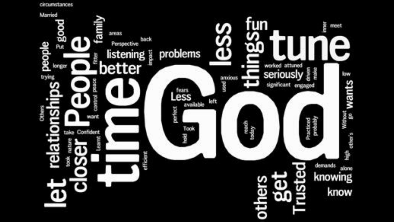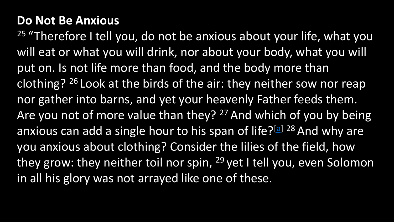## **Do Not Be Anxious**

 $25$  "Therefore I tell you, do not be anxious about your life, what you will eat or what you will drink, nor about your body, what you will put on. Is not life more than food, and the body more than clothing?  $26$  Look at the birds of the air: they neither sow nor reap nor gather into barns, and yet your heavenly Father feeds them. Are you not of more value than they? <sup>27</sup> And which of you by being anxious can add a single hour to his span of life?[[a\]](https://www.biblegateway.com/passage/?search=matthew+6:25-34&version=ESVUK#fen-ESVUK-23310a) 28 And why are you anxious about clothing? Consider the lilies of the field, how they grow: they neither toil nor spin, <sup>29</sup> yet I tell you, even Solomon in all his glory was not arrayed like one of these.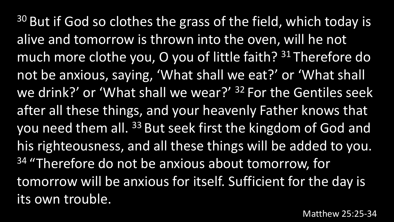$30$  But if God so clothes the grass of the field, which today is alive and tomorrow is thrown into the oven, will he not much more clothe you, O you of little faith? <sup>31</sup> Therefore do not be anxious, saying, 'What shall we eat?' or 'What shall we drink?' or 'What shall we wear?' <sup>32</sup> For the Gentiles seek after all these things, and your heavenly Father knows that you need them all. <sup>33</sup> But seek first the kingdom of God and his righteousness, and all these things will be added to you. <sup>34</sup> "Therefore do not be anxious about tomorrow, for tomorrow will be anxious for itself. Sufficient for the day is its own trouble.